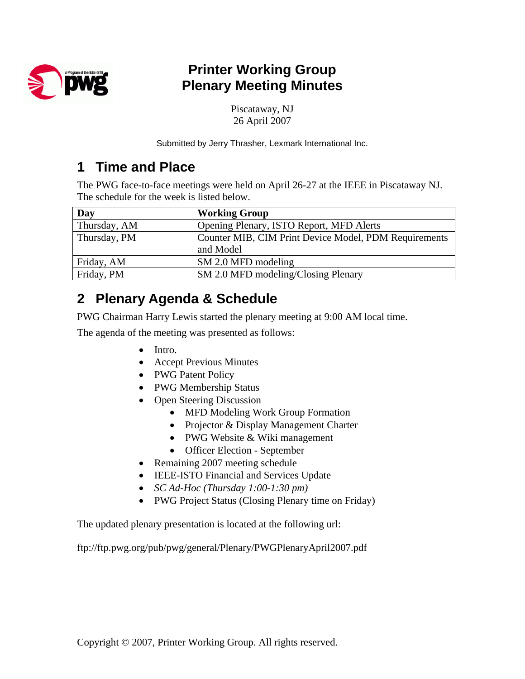

## **Printer Working Group Plenary Meeting Minutes**

Piscataway, NJ 26 April 2007

Submitted by Jerry Thrasher, Lexmark International Inc.

### **1 Time and Place**

The PWG face-to-face meetings were held on April 26-27 at the IEEE in Piscataway NJ. The schedule for the week is listed below.

| Day          | <b>Working Group</b>                                               |
|--------------|--------------------------------------------------------------------|
| Thursday, AM | Opening Plenary, ISTO Report, MFD Alerts                           |
| Thursday, PM | Counter MIB, CIM Print Device Model, PDM Requirements<br>and Model |
| Friday, AM   | SM 2.0 MFD modeling                                                |
| Friday, PM   | SM 2.0 MFD modeling/Closing Plenary                                |

## **2 Plenary Agenda & Schedule**

PWG Chairman Harry Lewis started the plenary meeting at 9:00 AM local time.

The agenda of the meeting was presented as follows:

- Intro.
- Accept Previous Minutes
- PWG Patent Policy
- PWG Membership Status
- Open Steering Discussion
	- MFD Modeling Work Group Formation
	- Projector & Display Management Charter
	- PWG Website & Wiki management
	- Officer Election September
- Remaining 2007 meeting schedule
- IEEE-ISTO Financial and Services Update
- *SC Ad-Hoc (Thursday 1:00-1:30 pm)*
- PWG Project Status (Closing Plenary time on Friday)

The updated plenary presentation is located at the following url:

ftp://ftp.pwg.org/pub/pwg/general/Plenary/PWGPlenaryApril2007.pdf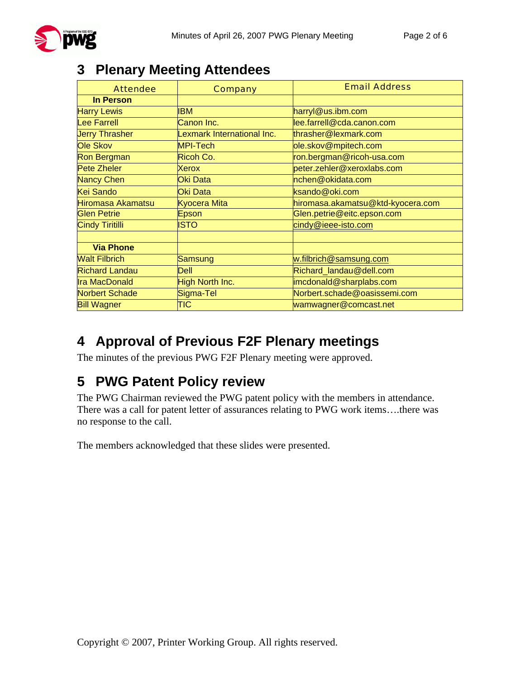

### **3 Plenary Meeting Attendees**

| <b>Attendee</b>        | <b>Company</b>             | <b>Email Address</b>              |
|------------------------|----------------------------|-----------------------------------|
| <b>In Person</b>       |                            |                                   |
| <b>Harry Lewis</b>     | <b>IBM</b>                 | harryl@us.ibm.com                 |
| <b>Lee Farrell</b>     | Canon Inc.                 | lee.farrell@cda.canon.com         |
| <b>Jerry Thrasher</b>  | Lexmark International Inc. | thrasher@lexmark.com              |
| <b>Ole Skov</b>        | <b>MPI-Tech</b>            | ole.skov@mpitech.com              |
| <b>Ron Bergman</b>     | Ricoh Co.                  | ron.bergman@ricoh-usa.com         |
| <b>Pete Zheler</b>     | Xerox                      | peter.zehler@xeroxlabs.com        |
| <b>Nancy Chen</b>      | Oki Data                   | nchen@okidata.com                 |
| <b>Kei Sando</b>       | Oki Data                   | ksando@oki.com                    |
| Hiromasa Akamatsu      | <b>Kyocera Mita</b>        | hiromasa.akamatsu@ktd-kyocera.com |
| <b>Glen Petrie</b>     | Epson                      | Glen.petrie@eitc.epson.com        |
| <b>Cindy Tiritilli</b> | ISTO                       | cindy@ieee-isto.com               |
|                        |                            |                                   |
| <b>Via Phone</b>       |                            |                                   |
| <b>Walt Filbrich</b>   | Samsung                    | w.filbrich@samsung.com            |
| <b>Richard Landau</b>  | <b>Dell</b>                | Richard_landau@dell.com           |
| <b>Ira MacDonald</b>   | High North Inc.            | imcdonald@sharplabs.com           |
| <b>Norbert Schade</b>  | Sigma-Tel                  | Norbert.schade@oasissemi.com      |
| <b>Bill Wagner</b>     | TIC                        | wamwagner@comcast.net             |

## **4 Approval of Previous F2F Plenary meetings**

The minutes of the previous PWG F2F Plenary meeting were approved.

## **5 PWG Patent Policy review**

The PWG Chairman reviewed the PWG patent policy with the members in attendance. There was a call for patent letter of assurances relating to PWG work items….there was no response to the call.

The members acknowledged that these slides were presented.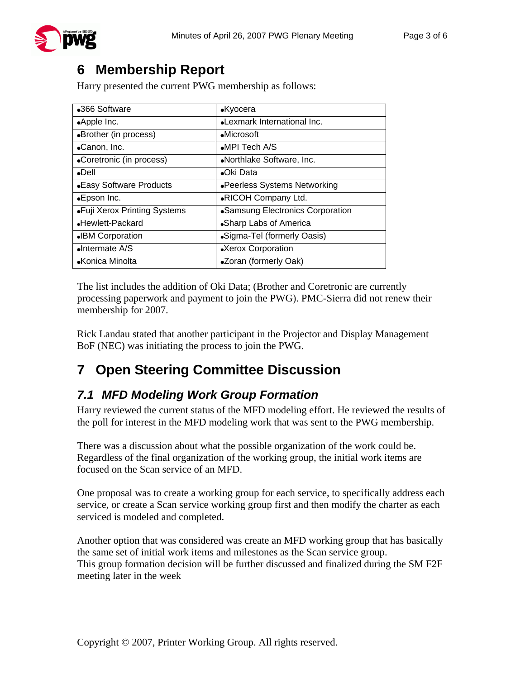

## **6 Membership Report**

Harry presented the current PWG membership as follows:

| •366 Software                | $\bullet$ Kyocera                |
|------------------------------|----------------------------------|
| •Apple Inc.                  | •Lexmark International Inc.      |
| •Brother (in process)        | $\bullet$ Microsoft              |
| •Canon, Inc.                 | $\bullet$ MPI Tech A/S           |
| •Coretronic (in process)     | •Northlake Software, Inc.        |
| $\bullet$ Dell               | •Oki Data                        |
| • Easy Software Products     | •Peerless Systems Networking     |
| •Epson Inc.                  | .RICOH Company Ltd.              |
| •Fuji Xerox Printing Systems | •Samsung Electronics Corporation |
| •Hewlett-Packard             | •Sharp Labs of America           |
| <b>.</b> IBM Corporation     | •Sigma-Tel (formerly Oasis)      |
| $\bullet$ Intermate A/S      | •Xerox Corporation               |
| •Konica Minolta              | •Zoran (formerly Oak)            |

The list includes the addition of Oki Data; (Brother and Coretronic are currently processing paperwork and payment to join the PWG). PMC-Sierra did not renew their membership for 2007.

Rick Landau stated that another participant in the Projector and Display Management BoF (NEC) was initiating the process to join the PWG.

# **7 Open Steering Committee Discussion**

#### *7.1 MFD Modeling Work Group Formation*

Harry reviewed the current status of the MFD modeling effort. He reviewed the results of the poll for interest in the MFD modeling work that was sent to the PWG membership.

There was a discussion about what the possible organization of the work could be. Regardless of the final organization of the working group, the initial work items are focused on the Scan service of an MFD.

One proposal was to create a working group for each service, to specifically address each service, or create a Scan service working group first and then modify the charter as each serviced is modeled and completed.

Another option that was considered was create an MFD working group that has basically the same set of initial work items and milestones as the Scan service group. This group formation decision will be further discussed and finalized during the SM F2F meeting later in the week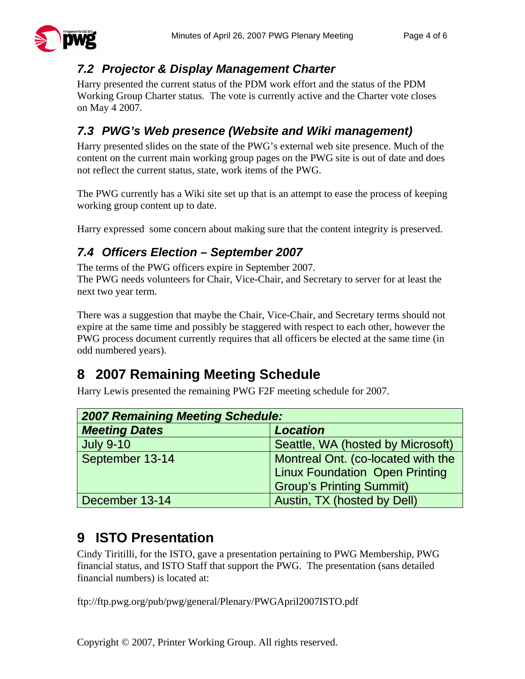

#### *7.2 Projector & Display Management Charter*

Harry presented the current status of the PDM work effort and the status of the PDM Working Group Charter status. The vote is currently active and the Charter vote closes on May 4 2007.

#### *7.3 PWG's Web presence (Website and Wiki management)*

Harry presented slides on the state of the PWG's external web site presence. Much of the content on the current main working group pages on the PWG site is out of date and does not reflect the current status, state, work items of the PWG.

The PWG currently has a Wiki site set up that is an attempt to ease the process of keeping working group content up to date.

Harry expressed some concern about making sure that the content integrity is preserved.

#### *7.4 Officers Election – September 2007*

The terms of the PWG officers expire in September 2007. The PWG needs volunteers for Chair, Vice-Chair, and Secretary to server for at least the next two year term.

There was a suggestion that maybe the Chair, Vice-Chair, and Secretary terms should not expire at the same time and possibly be staggered with respect to each other, however the PWG process document currently requires that all officers be elected at the same time (in odd numbered years).

## **8 2007 Remaining Meeting Schedule**

Harry Lewis presented the remaining PWG F2F meeting schedule for 2007.

| <b>2007 Remaining Meeting Schedule:</b> |                                       |  |
|-----------------------------------------|---------------------------------------|--|
| <b>Meeting Dates</b>                    | <b>Location</b>                       |  |
| <b>July 9-10</b>                        | Seattle, WA (hosted by Microsoft)     |  |
| September 13-14                         | Montreal Ont. (co-located with the    |  |
|                                         | <b>Linux Foundation Open Printing</b> |  |
|                                         | <b>Group's Printing Summit)</b>       |  |
| December 13-14                          | Austin, TX (hosted by Dell)           |  |

## **9 ISTO Presentation**

Cindy Tiritilli, for the ISTO, gave a presentation pertaining to PWG Membership, PWG financial status, and ISTO Staff that support the PWG. The presentation (sans detailed financial numbers) is located at:

ftp://ftp.pwg.org/pub/pwg/general/Plenary/PWGApril2007ISTO.pdf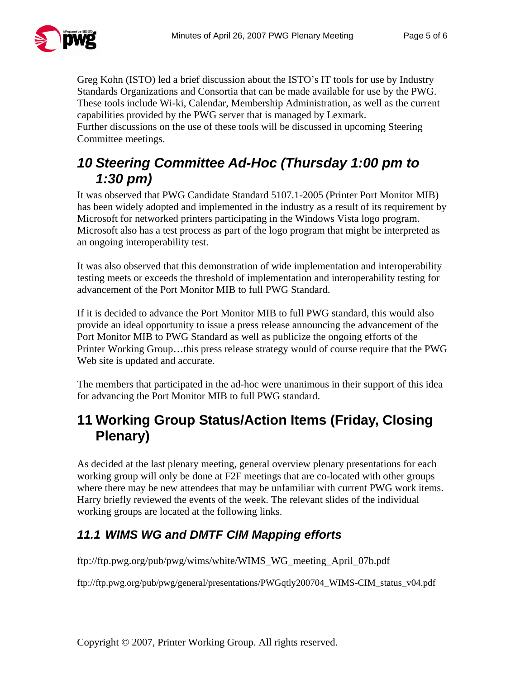

Greg Kohn (ISTO) led a brief discussion about the ISTO's IT tools for use by Industry Standards Organizations and Consortia that can be made available for use by the PWG. These tools include Wi-ki, Calendar, Membership Administration, as well as the current capabilities provided by the PWG server that is managed by Lexmark.

Further discussions on the use of these tools will be discussed in upcoming Steering Committee meetings.

### *10 Steering Committee Ad-Hoc (Thursday 1:00 pm to 1:30 pm)*

It was observed that PWG Candidate Standard 5107.1-2005 (Printer Port Monitor MIB) has been widely adopted and implemented in the industry as a result of its requirement by Microsoft for networked printers participating in the Windows Vista logo program. Microsoft also has a test process as part of the logo program that might be interpreted as an ongoing interoperability test.

It was also observed that this demonstration of wide implementation and interoperability testing meets or exceeds the threshold of implementation and interoperability testing for advancement of the Port Monitor MIB to full PWG Standard.

If it is decided to advance the Port Monitor MIB to full PWG standard, this would also provide an ideal opportunity to issue a press release announcing the advancement of the Port Monitor MIB to PWG Standard as well as publicize the ongoing efforts of the Printer Working Group…this press release strategy would of course require that the PWG Web site is updated and accurate.

The members that participated in the ad-hoc were unanimous in their support of this idea for advancing the Port Monitor MIB to full PWG standard.

### **11 Working Group Status/Action Items (Friday, Closing Plenary)**

As decided at the last plenary meeting, general overview plenary presentations for each working group will only be done at F2F meetings that are co-located with other groups where there may be new attendees that may be unfamiliar with current PWG work items. Harry briefly reviewed the events of the week. The relevant slides of the individual working groups are located at the following links.

#### *11.1 WIMS WG and DMTF CIM Mapping efforts*

ftp://ftp.pwg.org/pub/pwg/wims/white/WIMS\_WG\_meeting\_April\_07b.pdf

ftp://ftp.pwg.org/pub/pwg/general/presentations/PWGqtly200704\_WIMS-CIM\_status\_v04.pdf